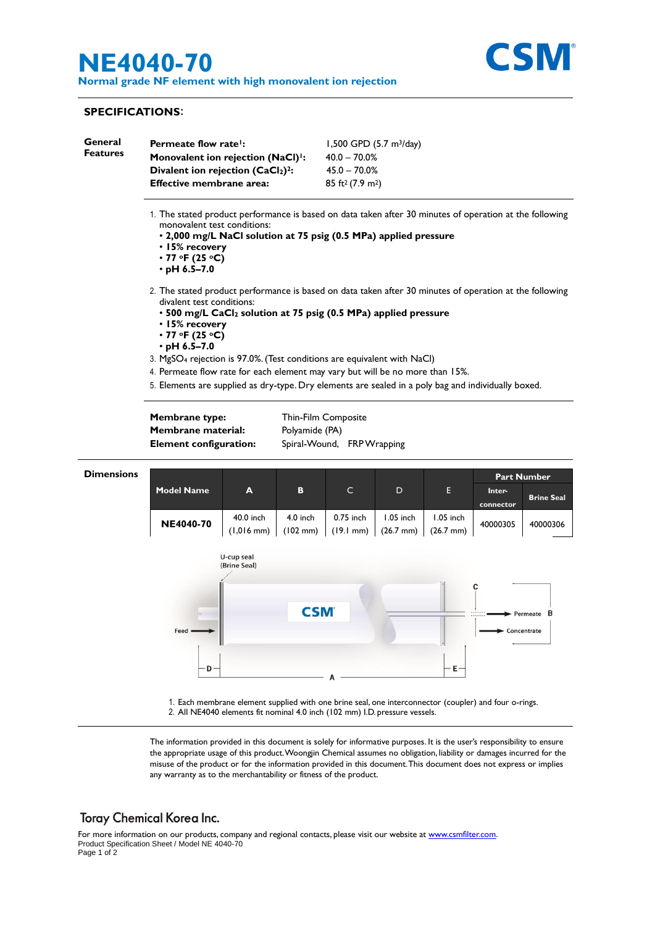# **NE4040-70**

**Normal grade NF element with high monovalent ion rejection**



## **SPECIFICATIONS**:

j.

| General<br><b>Features</b> | Permeate flow rate!:<br>Monovalent ion rejection (NaCl) <sup>1</sup> :<br>Divalent ion rejection (CaCl2) <sup>2</sup> :<br><b>Effective membrane area:</b>                                                                                                                                                                                                                                                                                                                                                                                                                                                                                                                                                                                                                                                                                         |                              |                                                                     | 1,500 GPD (5.7 m <sup>3</sup> /day)<br>$40.0 - 70.0%$<br>$45.0 - 70.0%$<br>85 ft <sup>2</sup> (7.9 m <sup>2</sup> ) |                                    |                                  |                     |                   |  |
|----------------------------|----------------------------------------------------------------------------------------------------------------------------------------------------------------------------------------------------------------------------------------------------------------------------------------------------------------------------------------------------------------------------------------------------------------------------------------------------------------------------------------------------------------------------------------------------------------------------------------------------------------------------------------------------------------------------------------------------------------------------------------------------------------------------------------------------------------------------------------------------|------------------------------|---------------------------------------------------------------------|---------------------------------------------------------------------------------------------------------------------|------------------------------------|----------------------------------|---------------------|-------------------|--|
|                            | 1. The stated product performance is based on data taken after 30 minutes of operation at the following<br>monovalent test conditions:<br>. 2,000 mg/L NaCl solution at 75 psig (0.5 MPa) applied pressure<br>• 15% recovery<br>$\cdot$ 77 °F (25 °C)<br>$\cdot$ pH 6.5-7.0<br>2. The stated product performance is based on data taken after 30 minutes of operation at the following<br>divalent test conditions:<br>• 500 mg/L CaCl <sub>2</sub> solution at 75 psig (0.5 MPa) applied pressure<br>• 15% recovery<br>$\cdot$ 77 °F (25 °C)<br>$\cdot$ pH 6.5–7.0<br>3. MgSO <sub>4</sub> rejection is 97.0%. (Test conditions are equivalent with NaCl)<br>4. Permeate flow rate for each element may vary but will be no more than 15%.<br>5. Elements are supplied as dry-type. Dry elements are sealed in a poly bag and individually boxed. |                              |                                                                     |                                                                                                                     |                                    |                                  |                     |                   |  |
|                            |                                                                                                                                                                                                                                                                                                                                                                                                                                                                                                                                                                                                                                                                                                                                                                                                                                                    |                              |                                                                     |                                                                                                                     |                                    |                                  |                     |                   |  |
|                            |                                                                                                                                                                                                                                                                                                                                                                                                                                                                                                                                                                                                                                                                                                                                                                                                                                                    |                              |                                                                     |                                                                                                                     |                                    |                                  |                     |                   |  |
|                            |                                                                                                                                                                                                                                                                                                                                                                                                                                                                                                                                                                                                                                                                                                                                                                                                                                                    |                              |                                                                     |                                                                                                                     |                                    |                                  |                     |                   |  |
|                            | Membrane type:<br><b>Membrane material:</b><br><b>Element configuration:</b>                                                                                                                                                                                                                                                                                                                                                                                                                                                                                                                                                                                                                                                                                                                                                                       |                              | Thin-Film Composite<br>Polyamide (PA)<br>Spiral-Wound, FRP Wrapping |                                                                                                                     |                                    |                                  |                     |                   |  |
| <b>Dimensions</b>          |                                                                                                                                                                                                                                                                                                                                                                                                                                                                                                                                                                                                                                                                                                                                                                                                                                                    |                              |                                                                     |                                                                                                                     |                                    |                                  | Part Number         |                   |  |
|                            | <b>Model Name</b>                                                                                                                                                                                                                                                                                                                                                                                                                                                                                                                                                                                                                                                                                                                                                                                                                                  | A                            | в                                                                   | C                                                                                                                   | D                                  | Е.                               | Inter-<br>connector | <b>Brine Seal</b> |  |
|                            | <b>NE4040-70</b>                                                                                                                                                                                                                                                                                                                                                                                                                                                                                                                                                                                                                                                                                                                                                                                                                                   | 40.0 inch<br>$(1,016$ mm $)$ | $4.0$ inch<br>$(102 \, \text{mm})$                                  | 0.75 inch<br>$(19.1$ mm)                                                                                            | $1.05$ inch<br>$(26.7 \text{ mm})$ | 1.05 inch<br>$(26.7 \text{ mm})$ | 40000305            | 40000306          |  |
|                            | U-cup seal<br>(Brine Seal)                                                                                                                                                                                                                                                                                                                                                                                                                                                                                                                                                                                                                                                                                                                                                                                                                         |                              |                                                                     |                                                                                                                     |                                    |                                  |                     |                   |  |
|                            | Feed                                                                                                                                                                                                                                                                                                                                                                                                                                                                                                                                                                                                                                                                                                                                                                                                                                               |                              |                                                                     | <b>CSM</b>                                                                                                          |                                    | C<br>- Permeate B<br>Concentrate |                     |                   |  |
|                            | D                                                                                                                                                                                                                                                                                                                                                                                                                                                                                                                                                                                                                                                                                                                                                                                                                                                  |                              |                                                                     |                                                                                                                     |                                    | E-                               |                     |                   |  |
|                            | 1. Each membrane element supplied with one brine seal, one interconnector (coupler) and four o-rings.<br>2. All NE4040 elements fit nominal 4.0 inch (102 mm) I.D. pressure vessels.                                                                                                                                                                                                                                                                                                                                                                                                                                                                                                                                                                                                                                                               |                              |                                                                     |                                                                                                                     |                                    |                                  |                     |                   |  |
|                            | The information provided in this document is solely for informative purposes. It is the user's responsibility to ensure                                                                                                                                                                                                                                                                                                                                                                                                                                                                                                                                                                                                                                                                                                                            |                              |                                                                     |                                                                                                                     |                                    |                                  |                     |                   |  |

the appropriate usage of this product.Woongjin Chemical assumes no obligation, liability or damages incurred for the misuse of the product or for the information provided in this document.This document does not express or implies any warranty as to the merchantability or fitness of the product.

## Toray Chemical Korea Inc.

For more information on our products, company and regional contacts, please visit our website at <u>www.csmfilter.com</u>. Product Specification Sheet / Model NE 4040-70 Page 1 of 2